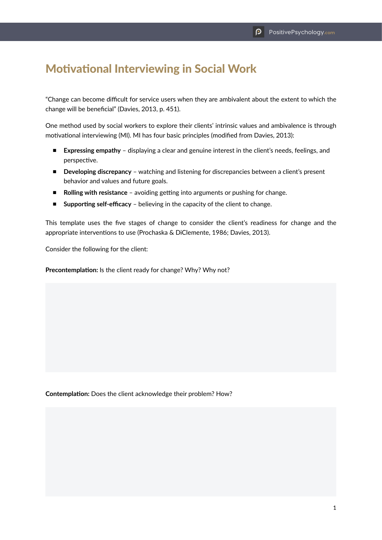## Motivational Interviewing in Social Work

"Change can become difficult for service users when they are ambivalent about the extent to which the change will be beneficial" (Davies, 2013, p. 451).

One method used by social workers to explore their clients' intrinsic values and ambivalence is through motivational interviewing (MI). MI has four basic principles (modified from Davies, 2013):

- **Expressing empathy** displaying a clear and genuine interest in the client's needs, feelings, and perspective.
- **Developing discrepancy** watching and listening for discrepancies between a client's present behavior and values and future goals.
- **Rolling with resistance** avoiding getting into arguments or pushing for change.
- **Supporting self-efficacy** believing in the capacity of the client to change.

This template uses the five stages of change to consider the client's readiness for change and the appropriate interventions to use (Prochaska & DiClemente, 1986; Davies, 2013).

Consider the following for the client:

**Precontemplation:** Is the client ready for change? Why? Why not?

**Contemplation:** Does the client acknowledge their problem? How?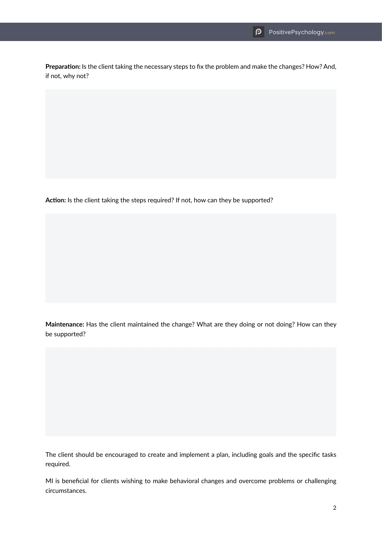**Preparation:** Is the client taking the necessary steps to fix the problem and make the changes? How? And, if not, why not?

**Action:** Is the client taking the steps required? If not, how can they be supported?

**Maintenance:** Has the client maintained the change? What are they doing or not doing? How can they be supported?

The client should be encouraged to create and implement a plan, including goals and the specific tasks required.

MI is beneficial for clients wishing to make behavioral changes and overcome problems or challenging circumstances.